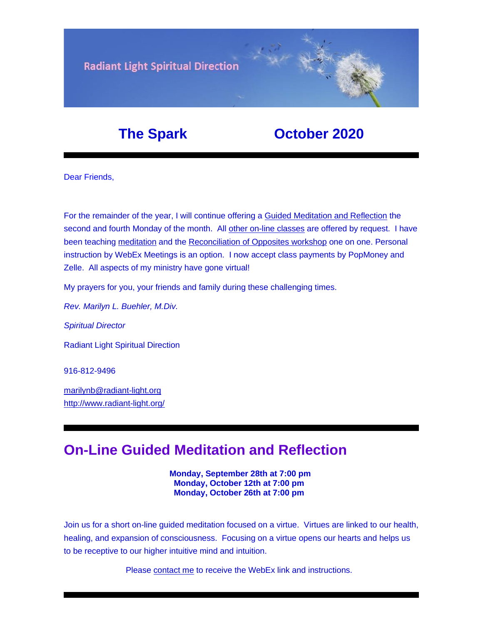

### **The Spark Corober 2020**

Dear Friends,

For the remainder of the year, I will continue offering a [Guided Meditation and Reflection](https://u18544456.ct.sendgrid.net/ls/click?upn=YO6TcuTs2Xz6NlJVKcEQZiklIDFGo-2FRGaP7ZnccBbQD-2F5nLWTzJmSJc11SHLkwTWw3mPoSMkIgk89sNojM3mjcl2mDNdB7fk5xqxV4W92SY-3DHnvz_FiQrYGg1YZElR924caalGEP3AHGeF79ulf5jxC9Fbcd8IfoR4p2-2FW0xZvJaX6Y3z75H0Yw3uGmHJTH3azVPJ5HTXrZ-2Ft5OVM5Vv31JFvUf3sl-2Bt2VvZL3mo9-2FDK3jGCpi4X-2FnIfyj16e5kROeb4uEivX023e7Mpq85L8HC5ohPSZ0-2F7hhzrK2muU8HexQFnOdhgQkPo49XE8n3Z9-2Buzv9nmlmCHJ-2BN4fT5EkO4NKTl-2B73gAlyTtYjukUhLAHTqcTW7rZi8ZrP3U7OzVNDfj8gfPigstxz2PEEtexA5PyeGk5bALWNtZcRnFtiuu1Y7DY39udTGHst31VCX1lZGj16Um-2BNpuKPXZFuaXuKpwTMsn6GoVoi2W0bHy-2FDpoa4ip8pFBDdi7zya-2F5t8Vh6yi37WOL7HEONIcE4LtLdji3WVUet6apEOrhgi5UhxkoAFPKCb2ZV73WzwOyBX-2BqVDrWHWgtmGMnOTv4bRTw-2FEn5FpHMbMHaU0odidLq1q6ct-2B68vaMG5jw-2B7SsYTCpp2WCdmCFm0kF77TWp88IeH6TdyYcunTPh-2Bb0gPLR8d-2B-2B-2B-2FUzzYaXrVitqbqZ3vCyTMSK1-2FyGcdUEjkOv1JCTeCqGvAvhKq3nxiggrY5eI0QAsjpedQNCivj3xNpsdmtCkA0k29yybc-2Fhx0bKc9sLXSsUSgsBnpvWAxes6vbdx95Ruuq50cPaAMdpwpQnJsMZ8ZqIBWG-2Ffvu4sK0l5DIzVbJ86LCex37XB0O-2BNlwmZJf0stZpoieN64M5C-2BVZMWrrA3W1GIf-2Bvv1J2zV3ZZ95URTuNwu1kPfTifobXtVUXeIKDG-2FHk2-2BGfUoWwXFLSQINOHxEQ-2FTIpl5wUyPA3Mshso4xCyL8-3D) the second and fourth Monday of the month. All [other on-line classes](https://u18544456.ct.sendgrid.net/ls/click?upn=YO6TcuTs2Xz6NlJVKcEQZiklIDFGo-2FRGaP7ZnccBbQDLOGMDhN2L94NJMu04rPoUJ8P1_FiQrYGg1YZElR924caalGEP3AHGeF79ulf5jxC9Fbcd8IfoR4p2-2FW0xZvJaX6Y3z75H0Yw3uGmHJTH3azVPJ5HTXrZ-2Ft5OVM5Vv31JFvUf3sl-2Bt2VvZL3mo9-2FDK3jGCpi4X-2FnIfyj16e5kROeb4uEivX023e7Mpq85L8HC5ohPSZ0-2F7hhzrK2muU8HexQFnOdhgQkPo49XE8n3Z9-2Buzv9nmlmCHJ-2BN4fT5EkO4NKTl-2B73gAlyTtYjukUhLAHTqcTW7rZi8ZrP3U7OzVNDfj8gfPigstxz2PEEtexA5PyeGk5bALWNtZcRnFtiuu1Y7DY39udTGHst31VCX1lZGj16Um-2BNpuKPXZFuaXuKpwTMsn6GoVoi2W0bHy-2FDpoa4ip8pFBDdi7zya-2F5t8Vh6yi37WOL7HEONIcE4LtLdji3WVUet6apEOrhgi5UhxkoAFPKCb2ZV73WzwOyBX-2BqVDrWHWgtmGMnOTv4bRTw-2FEn5FpHMbMHaU0odidLq1q6ct-2B68vaMG5jw-2B7SsYTCpp2WCdmCFm0kF77TWp88IeH6TdyYcunTPh-2Bb0gPLR8d-2B-2B-2B-2FUzzYaXrVitqbqZ3vCyTMSK1-2FyGcdUEjkOv1JCTeCqGvAvhKq3nxiggrY5eI0QAsjpedQNCivj3xNpsdmtCkA0k29yybc-2Fhx0bKc9sLXSsUSgsBnpvWAxes6vbdx95Ruuq50kvkas11BRlnpXbAAAGuPPcpVs8XR2OJXlFx0ZzjCw5J1M0fOXWzF35Tvlr05k0UAMePGkWRjmDAeKE2veF9WEFO2mKbrIRJWrXefi-2FF9XiVHKVZQVUr1QMLKMAMSvWf7R2N6JRlhBBsru5REUR-2FjK-2Fx5wBOuuPUeXoJv4Tz5ZG8-3D) are offered by request. I have been teaching [meditation](https://u18544456.ct.sendgrid.net/ls/click?upn=YO6TcuTs2Xz6NlJVKcEQZiklIDFGo-2FRGaP7ZnccBbQCHI3OCy1-2FTljnUIZxiRg8HLM4DYB-2FN-2Fq3kXlEC-2F4u5oV164lbmXOFL895hqZhKLR0-3Db7K6_FiQrYGg1YZElR924caalGEP3AHGeF79ulf5jxC9Fbcd8IfoR4p2-2FW0xZvJaX6Y3z75H0Yw3uGmHJTH3azVPJ5HTXrZ-2Ft5OVM5Vv31JFvUf3sl-2Bt2VvZL3mo9-2FDK3jGCpi4X-2FnIfyj16e5kROeb4uEivX023e7Mpq85L8HC5ohPSZ0-2F7hhzrK2muU8HexQFnOdhgQkPo49XE8n3Z9-2Buzv9nmlmCHJ-2BN4fT5EkO4NKTl-2B73gAlyTtYjukUhLAHTqcTW7rZi8ZrP3U7OzVNDfj8gfPigstxz2PEEtexA5PyeGk5bALWNtZcRnFtiuu1Y7DY39udTGHst31VCX1lZGj16Um-2BNpuKPXZFuaXuKpwTMsn6GoVoi2W0bHy-2FDpoa4ip8pFBDdi7zya-2F5t8Vh6yi37WOL7HEONIcE4LtLdji3WVUet6apEOrhgi5UhxkoAFPKCb2ZV73WzwOyBX-2BqVDrWHWgtmGMnOTv4bRTw-2FEn5FpHMbMHaU0odidLq1q6ct-2B68vaMG5jw-2B7SsYTCpp2WCdmCFm0kF77TWp88IeH6TdyYcunTPh-2Bb0gPLR8d-2B-2B-2B-2FUzzYaXrVitqbqZ3vCyTMSK1-2FyGcdUEjkOv1JCTeCqGvAvhKq3nxiggrY5eI0QAsjpedQNCivj3xNpsdmtCkA0k29yybc-2Fhx0bKc9sLXSsUSgsBnpvWAxes6vbdx95Ruuq506Vtx7Rs8yXggP-2Bmq0sjb-2BRb-2B4H7Bdo4pNQQ1U2u-2B-2F8tjJCxFsJjVlp1N7sJ90yho0VnjS4HWBIb4pS1DqrnvarZB0T2h7sIQnvepRf0YHq1l0EsuG0bJlb6mIg3SFevZ2WYqswOYBYqJesr1RBGIgANqbvYjA0IdZfI-2FzYfBZNc-3D) and the [Reconciliation of Opposites workshop](https://u18544456.ct.sendgrid.net/ls/click?upn=YO6TcuTs2Xz6NlJVKcEQZiklIDFGo-2FRGaP7ZnccBbQBGusmZfNmfWP2-2F0bS7gDEvg7s-2FT-2FketP1vrwJqVOk03W8vVkbj2WqZ2HvU-2F4FbrkY-3DlWDx_FiQrYGg1YZElR924caalGEP3AHGeF79ulf5jxC9Fbcd8IfoR4p2-2FW0xZvJaX6Y3z75H0Yw3uGmHJTH3azVPJ5HTXrZ-2Ft5OVM5Vv31JFvUf3sl-2Bt2VvZL3mo9-2FDK3jGCpi4X-2FnIfyj16e5kROeb4uEivX023e7Mpq85L8HC5ohPSZ0-2F7hhzrK2muU8HexQFnOdhgQkPo49XE8n3Z9-2Buzv9nmlmCHJ-2BN4fT5EkO4NKTl-2B73gAlyTtYjukUhLAHTqcTW7rZi8ZrP3U7OzVNDfj8gfPigstxz2PEEtexA5PyeGk5bALWNtZcRnFtiuu1Y7DY39udTGHst31VCX1lZGj16Um-2BNpuKPXZFuaXuKpwTMsn6GoVoi2W0bHy-2FDpoa4ip8pFBDdi7zya-2F5t8Vh6yi37WOL7HEONIcE4LtLdji3WVUet6apEOrhgi5UhxkoAFPKCb2ZV73WzwOyBX-2BqVDrWHWgtmGMnOTv4bRTw-2FEn5FpHMbMHaU0odidLq1q6ct-2B68vaMG5jw-2B7SsYTCpp2WCdmCFm0kF77TWp88IeH6TdyYcunTPh-2Bb0gPLR8d-2B-2B-2B-2FUzzYaXrVitqbqZ3vCyTMSK1-2FyGcdUEjkOv1JCTeCqGvAvhKq3nxiggrY5eI0QAsjpedQNCivj3xNpsdmtCkA0k29yybc-2Fhx0bKc9sLXSsUSgsBnpvWAxes6vbdx95Ruuq501WcBZY1wYf-2FNymh44f53eSKkOZxuUlvMcGa0Fl7FPD-2FOOucZficmBTxpH9UXXoFn2umF-2FOa32o-2FqKqQRHB6fX8Qu0yITcZptuvdLIPFHnsKGiUYzTcLKivSXUs-2FBUdPZ-2B49Xy3dOHVGBqtGRUDF-2FYq3HJYiWF9ceGchmM9hICIA-3D) one on one. Personal instruction by WebEx Meetings is an option. I now accept class payments by PopMoney and Zelle. All aspects of my ministry have gone virtual!

My prayers for you, your friends and family during these challenging times.

*Rev. Marilyn L. Buehler, M.Div.*

*Spiritual Director*

Radiant Light Spiritual Direction

916-812-9496

[marilynb@radiant-light.org](mailto:marilynb@radiant-light.org) [http://www.radiant-light.org/](https://u18544456.ct.sendgrid.net/ls/click?upn=R-2Bl7NGDLiuME3v4KUDXT9h2qnOPi-2Bv0NUDPOAvqgwbSGaV-2BAb3Xm4aVOKtH6HhU9m-2FTXOQwSXWi82XNXQXmW0Ybjzw6tS-2BT4DLdUHTzXugFWK15x1FY1bK6oAs60zDHaroEO_FiQrYGg1YZElR924caalGEP3AHGeF79ulf5jxC9Fbcd8IfoR4p2-2FW0xZvJaX6Y3z75H0Yw3uGmHJTH3azVPJ5HTXrZ-2Ft5OVM5Vv31JFvUf3sl-2Bt2VvZL3mo9-2FDK3jGCpi4X-2FnIfyj16e5kROeb4uEivX023e7Mpq85L8HC5ohPSZ0-2F7hhzrK2muU8HexQFnOdhgQkPo49XE8n3Z9-2Buzv9nmlmCHJ-2BN4fT5EkO4NKTl-2B73gAlyTtYjukUhLAHTqcTW7rZi8ZrP3U7OzVNDfj8gfPigstxz2PEEtexA5PyeGk5bALWNtZcRnFtiuu1Y7DY39udTGHst31VCX1lZGj16Um-2BNpuKPXZFuaXuKpwTMsn6GoVoi2W0bHy-2FDpoa4ip8pFBDdi7zya-2F5t8Vh6yi37WOL7HEONIcE4LtLdji3WVUet6apEOrhgi5UhxkoAFPKCb2ZV73WzwOyBX-2BqVDrWHWgtmGMnOTv4bRTw-2FEn5FpHMbMHaU0odidLq1q6ct-2B68vaMG5jw-2B7SsYTCpp2WCdmCFm0kF77TWp88IeH6TdyYcunTPh-2Bb0gPLR8d-2B-2B-2B-2FUzzYaXrVitqbqZ3vCyTMSK1-2FyGcdUEjkOv1JCTeCqGvAvhKq3nxiggrY5eI0QAsjpedQNCivj3xNpsdmtCkA0k29yybc-2Fhx0bKc9sLXSsUSgsBnpvWAxes6vbdx95Ruuq50wNBPZC3aQ8gU5avwBRKalMEkJCTdGv0CnKRnZ1nT0hku-2FrKl-2FZr83KQEiK2qAAHBYa-2BgxDdnzBMo-2BCl7qG8XTHWrCalPyi5IAgB-2Fa67bOOzG2M4Ky37pQflSJrpya4RQmO9kX6f7GOzQ465bHK7oDFytMApAmSpshLNMBScB4uE-3D)

## **On-Line Guided Meditation and Reflection**

**Monday, September 28th at 7:00 pm Monday, October 12th at 7:00 pm Monday, October 26th at 7:00 pm**

Join us for a short on-line guided meditation focused on a virtue. Virtues are linked to our health, healing, and expansion of consciousness. Focusing on a virtue opens our hearts and helps us to be receptive to our higher intuitive mind and intuition.

Please [contact me](https://u18544456.ct.sendgrid.net/ls/click?upn=R-2Bl7NGDLiuME3v4KUDXT9h2qnOPi-2Bv0NUDPOAvqgwbSGaV-2BAb3Xm4aVOKtH6HhU9m-2FTXOQwSXWi82XNXQXmW0TeTtZ6vr6yUMbwGvzZnWPbVSkSjSMHWxvqYdohdT2g7Xbls_FiQrYGg1YZElR924caalGEP3AHGeF79ulf5jxC9Fbcd8IfoR4p2-2FW0xZvJaX6Y3z75H0Yw3uGmHJTH3azVPJ5HTXrZ-2Ft5OVM5Vv31JFvUf3sl-2Bt2VvZL3mo9-2FDK3jGCpi4X-2FnIfyj16e5kROeb4uEivX023e7Mpq85L8HC5ohPSZ0-2F7hhzrK2muU8HexQFnOdhgQkPo49XE8n3Z9-2Buzv9nmlmCHJ-2BN4fT5EkO4NKTl-2B73gAlyTtYjukUhLAHTqcTW7rZi8ZrP3U7OzVNDfj8gfPigstxz2PEEtexA5PyeGk5bALWNtZcRnFtiuu1Y7DY39udTGHst31VCX1lZGj16Um-2BNpuKPXZFuaXuKpwTMsn6GoVoi2W0bHy-2FDpoa4ip8pFBDdi7zya-2F5t8Vh6yi37WOL7HEONIcE4LtLdji3WVUet6apEOrhgi5UhxkoAFPKCb2ZV73WzwOyBX-2BqVDrWHWgtmGMnOTv4bRTw-2FEn5FpHMbMHaU0odidLq1q6ct-2B68vaMG5jw-2B7SsYTCpp2WCdmCFm0kF77TWp88IeH6TdyYcunTPh-2Bb0gPLR8d-2B-2B-2B-2FUzzYaXrVitqbqZ3vCyTMSK1-2FyGcdUEjkOv1JCTeCqGvAvhKq3nxiggrY5eI0QAsjpedQNCivj3xNpsdmtCkA0k29yybc-2Fhx0bKc9sLXSsUSgsBnpvWAxes6vbdx95Ruuq50hoh2ZlBmWuy3mNlOJ9glJNLqMD8Kv5OCMq3lvkBAfR-2B7PA69nMdmBqvNheU9SA-2FCsx3mWLR8NhKdI1HMcGDbe-2BfClM-2BBBFJ2OIGbEB5Cv9BPwwWPS430CvAD4cFmQy1zh4HhAszNZ2KNti6-2FH-2F5qiQpGtLCT8Cu0OW9cGMYj55Q-3D) to receive the WebEx link and instructions.